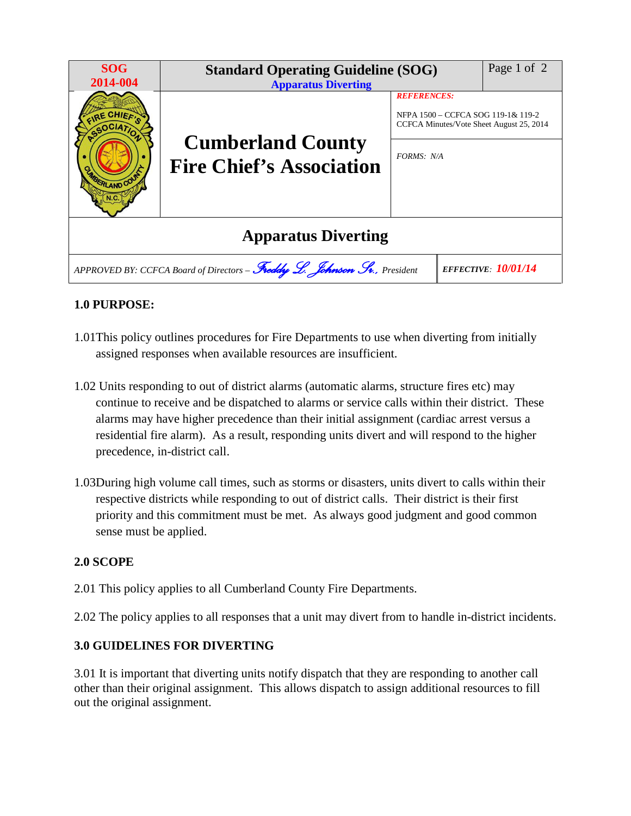| <b>SOG</b><br>2014-004                                                                                 | <b>Standard Operating Guideline (SOG)</b><br><b>Apparatus Diverting</b> |                                                                                                      | Page 1 of 2 |
|--------------------------------------------------------------------------------------------------------|-------------------------------------------------------------------------|------------------------------------------------------------------------------------------------------|-------------|
| RE CHIEF<br>ERLAND COU                                                                                 | <b>Cumberland County</b><br><b>Fire Chief's Association</b>             | <b>REFERENCES:</b><br>NFPA 1500 – CCFCA SOG 119-1& 119-2<br>CCFCA Minutes/Vote Sheet August 25, 2014 |             |
|                                                                                                        |                                                                         | FORMS: N/A                                                                                           |             |
| <b>Apparatus Diverting</b>                                                                             |                                                                         |                                                                                                      |             |
| APPROVED BY: CCFCA Board of Directors - Freddy L. Johnson Sv., President<br><b>EFFECTIVE: 10/01/14</b> |                                                                         |                                                                                                      |             |

## **1.0 PURPOSE:**

- 1.01This policy outlines procedures for Fire Departments to use when diverting from initially assigned responses when available resources are insufficient.
- 1.02 Units responding to out of district alarms (automatic alarms, structure fires etc) may continue to receive and be dispatched to alarms or service calls within their district. These alarms may have higher precedence than their initial assignment (cardiac arrest versus a residential fire alarm). As a result, responding units divert and will respond to the higher precedence, in-district call.
- 1.03During high volume call times, such as storms or disasters, units divert to calls within their respective districts while responding to out of district calls. Their district is their first priority and this commitment must be met. As always good judgment and good common sense must be applied.

## **2.0 SCOPE**

- 2.01 This policy applies to all Cumberland County Fire Departments.
- 2.02 The policy applies to all responses that a unit may divert from to handle in-district incidents.

## **3.0 GUIDELINES FOR DIVERTING**

3.01 It is important that diverting units notify dispatch that they are responding to another call other than their original assignment. This allows dispatch to assign additional resources to fill out the original assignment.